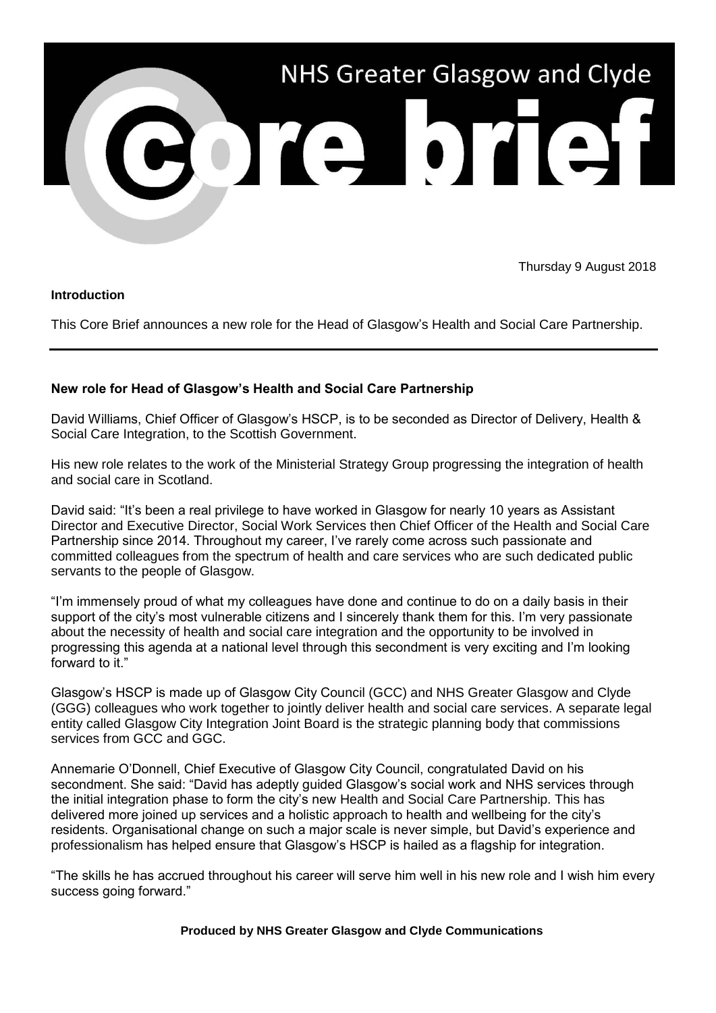

Thursday 9 August 2018

## **Introduction**

This Core Brief announces a new role for the Head of Glasgow's Health and Social Care Partnership.

## **New role for Head of Glasgow's Health and Social Care Partnership**

David Williams, Chief Officer of Glasgow's HSCP, is to be seconded as Director of Delivery, Health & Social Care Integration, to the Scottish Government.

His new role relates to the work of the Ministerial Strategy Group progressing the integration of health and social care in Scotland.

David said: "It's been a real privilege to have worked in Glasgow for nearly 10 years as Assistant Director and Executive Director, Social Work Services then Chief Officer of the Health and Social Care Partnership since 2014. Throughout my career, I've rarely come across such passionate and committed colleagues from the spectrum of health and care services who are such dedicated public servants to the people of Glasgow.

"I'm immensely proud of what my colleagues have done and continue to do on a daily basis in their support of the city's most vulnerable citizens and I sincerely thank them for this. I'm very passionate about the necessity of health and social care integration and the opportunity to be involved in progressing this agenda at a national level through this secondment is very exciting and I'm looking forward to it."

Glasgow's HSCP is made up of Glasgow City Council (GCC) and NHS Greater Glasgow and Clyde (GGG) colleagues who work together to jointly deliver health and social care services. A separate legal entity called Glasgow City Integration Joint Board is the strategic planning body that commissions services from GCC and GGC.

Annemarie O'Donnell, Chief Executive of Glasgow City Council, congratulated David on his secondment. She said: "David has adeptly guided Glasgow's social work and NHS services through the initial integration phase to form the city's new Health and Social Care Partnership. This has delivered more joined up services and a holistic approach to health and wellbeing for the city's residents. Organisational change on such a major scale is never simple, but David's experience and professionalism has helped ensure that Glasgow's HSCP is hailed as a flagship for integration.

"The skills he has accrued throughout his career will serve him well in his new role and I wish him every success going forward."

**Produced by NHS Greater Glasgow and Clyde Communications**